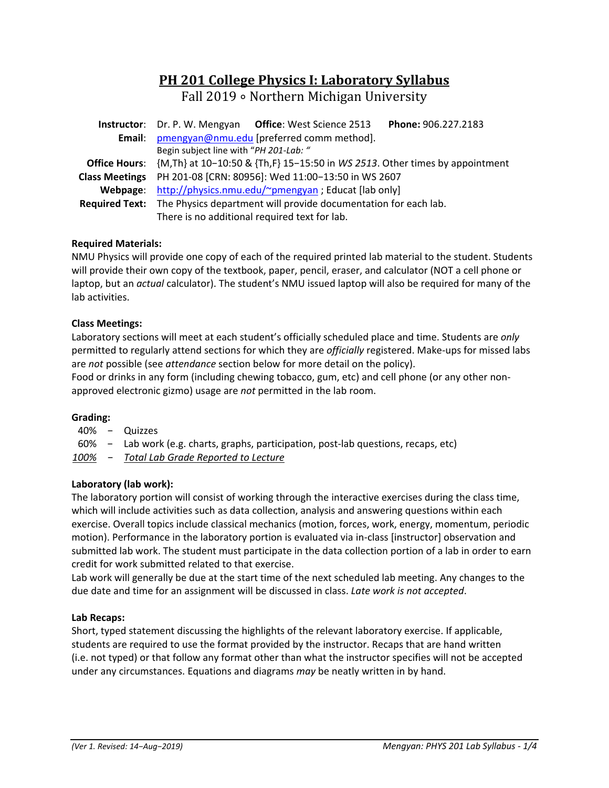# **PH 201 College Physics I: Laboratory Syllabus**

Fall 2019 ∘ Northern Michigan University

|                       | Phone: 906.227.2183<br><b>Instructor:</b> Dr. P. W. Mengyan Office: West Science 2513     |  |  |  |  |  |
|-----------------------|-------------------------------------------------------------------------------------------|--|--|--|--|--|
|                       | Email: pmengyan@nmu.edu [preferred comm method].                                          |  |  |  |  |  |
|                       | Begin subject line with "PH 201-Lab: "                                                    |  |  |  |  |  |
|                       | Office Hours: {M,Th} at 10-10:50 & {Th,F} 15-15:50 in WS 2513. Other times by appointment |  |  |  |  |  |
| <b>Class Meetings</b> | PH 201-08 [CRN: 80956]: Wed 11:00-13:50 in WS 2607                                        |  |  |  |  |  |
|                       | Webpage: http://physics.nmu.edu/~pmengyan ; Educat [lab only]                             |  |  |  |  |  |
|                       | Required Text: The Physics department will provide documentation for each lab.            |  |  |  |  |  |
|                       | There is no additional required text for lab.                                             |  |  |  |  |  |

# **Required Materials:**

NMU Physics will provide one copy of each of the required printed lab material to the student. Students will provide their own copy of the textbook, paper, pencil, eraser, and calculator (NOT a cell phone or laptop, but an *actual* calculator). The student's NMU issued laptop will also be required for many of the lab activities.

#### **Class Meetings:**

Laboratory sections will meet at each student's officially scheduled place and time. Students are *only* permitted to regularly attend sections for which they are *officially* registered. Make-ups for missed labs are *not* possible (see *attendance* section below for more detail on the policy).

Food or drinks in any form (including chewing tobacco, gum, etc) and cell phone (or any other non‐ approved electronic gizmo) usage are *not* permitted in the lab room.

#### **Grading:**

40% − Quizzes

60% − Lab work (e.g. charts, graphs, participation, post‐lab questions, recaps, etc)

*100% − Total Lab Grade Reported to Lecture* 

# **Laboratory (lab work):**

The laboratory portion will consist of working through the interactive exercises during the class time, which will include activities such as data collection, analysis and answering questions within each exercise. Overall topics include classical mechanics (motion, forces, work, energy, momentum, periodic motion). Performance in the laboratory portion is evaluated via in‐class [instructor] observation and submitted lab work. The student must participate in the data collection portion of a lab in order to earn credit for work submitted related to that exercise.

Lab work will generally be due at the start time of the next scheduled lab meeting. Any changes to the due date and time for an assignment will be discussed in class. *Late work is not accepted*.

#### **Lab Recaps:**

Short, typed statement discussing the highlights of the relevant laboratory exercise. If applicable, students are required to use the format provided by the instructor. Recaps that are hand written (i.e. not typed) or that follow any format other than what the instructor specifies will not be accepted under any circumstances. Equations and diagrams *may* be neatly written in by hand.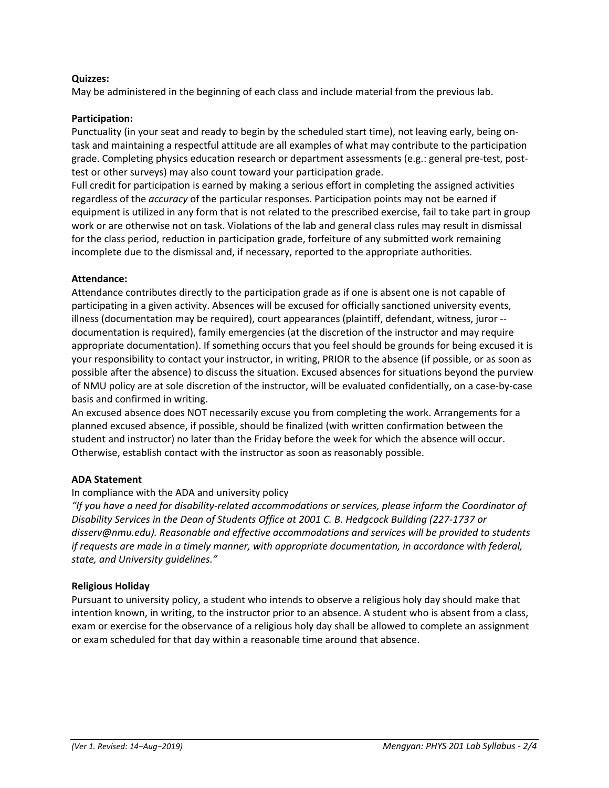#### **Quizzes:**

May be administered in the beginning of each class and include material from the previous lab.

#### **Participation:**

Punctuality (in your seat and ready to begin by the scheduled start time), not leaving early, being on‐ task and maintaining a respectful attitude are all examples of what may contribute to the participation grade. Completing physics education research or department assessments (e.g.: general pre-test, posttest or other surveys) may also count toward your participation grade.

Full credit for participation is earned by making a serious effort in completing the assigned activities regardless of the *accuracy* of the particular responses. Participation points may not be earned if equipment is utilized in any form that is not related to the prescribed exercise, fail to take part in group work or are otherwise not on task. Violations of the lab and general class rules may result in dismissal for the class period, reduction in participation grade, forfeiture of any submitted work remaining incomplete due to the dismissal and, if necessary, reported to the appropriate authorities.

#### **Attendance:**

Attendance contributes directly to the participation grade as if one is absent one is not capable of participating in a given activity. Absences will be excused for officially sanctioned university events, illness (documentation may be required), court appearances (plaintiff, defendant, witness, juror ‐‐ documentation is required), family emergencies (at the discretion of the instructor and may require appropriate documentation). If something occurs that you feel should be grounds for being excused it is your responsibility to contact your instructor, in writing, PRIOR to the absence (if possible, or as soon as possible after the absence) to discuss the situation. Excused absences for situations beyond the purview of NMU policy are at sole discretion of the instructor, will be evaluated confidentially, on a case‐by‐case basis and confirmed in writing.

An excused absence does NOT necessarily excuse you from completing the work. Arrangements for a planned excused absence, if possible, should be finalized (with written confirmation between the student and instructor) no later than the Friday before the week for which the absence will occur. Otherwise, establish contact with the instructor as soon as reasonably possible.

#### **ADA Statement**

#### In compliance with the ADA and university policy

*"If you have a need for disability‐related accommodations or services, please inform the Coordinator of Disability Services in the Dean of Students Office at 2001 C. B. Hedgcock Building (227‐1737 or disserv@nmu.edu). Reasonable and effective accommodations and services will be provided to students if requests are made in a timely manner, with appropriate documentation, in accordance with federal, state, and University guidelines."* 

#### **Religious Holiday**

Pursuant to university policy, a student who intends to observe a religious holy day should make that intention known, in writing, to the instructor prior to an absence. A student who is absent from a class, exam or exercise for the observance of a religious holy day shall be allowed to complete an assignment or exam scheduled for that day within a reasonable time around that absence.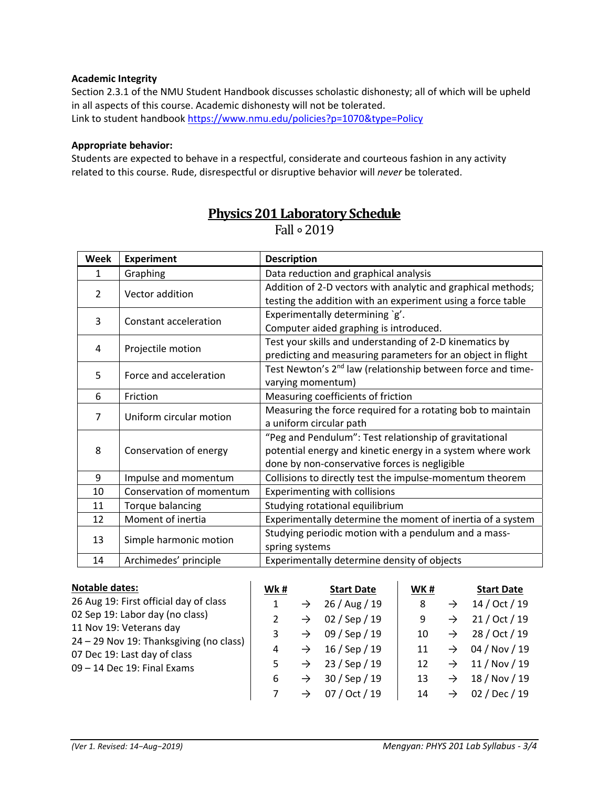### **Academic Integrity**

Section 2.3.1 of the NMU Student Handbook discusses scholastic dishonesty; all of which will be upheld in all aspects of this course. Academic dishonesty will not be tolerated. Link to student handbook https://www.nmu.edu/policies?p=1070&type=Policy

# **Appropriate behavior:**

Students are expected to behave in a respectful, considerate and courteous fashion in any activity related to this course. Rude, disrespectful or disruptive behavior will *never* be tolerated.

| <b>Week</b>   | <b>Experiment</b>                                   | <b>Description</b>                                                                                                                                                    |  |  |  |  |
|---------------|-----------------------------------------------------|-----------------------------------------------------------------------------------------------------------------------------------------------------------------------|--|--|--|--|
| 1             | Graphing                                            | Data reduction and graphical analysis                                                                                                                                 |  |  |  |  |
| $\mathcal{P}$ | Vector addition                                     | Addition of 2-D vectors with analytic and graphical methods;<br>testing the addition with an experiment using a force table                                           |  |  |  |  |
| 3             | Constant acceleration                               | Experimentally determining `g'.<br>Computer aided graphing is introduced.                                                                                             |  |  |  |  |
| 4             | Projectile motion                                   | Test your skills and understanding of 2-D kinematics by<br>predicting and measuring parameters for an object in flight                                                |  |  |  |  |
| 5             | Force and acceleration                              | Test Newton's 2 <sup>nd</sup> law (relationship between force and time-<br>varying momentum)                                                                          |  |  |  |  |
| 6             | Measuring coefficients of friction<br>Friction      |                                                                                                                                                                       |  |  |  |  |
| 7             | Uniform circular motion                             | Measuring the force required for a rotating bob to maintain<br>a uniform circular path                                                                                |  |  |  |  |
| 8             | Conservation of energy                              | "Peg and Pendulum": Test relationship of gravitational<br>potential energy and kinetic energy in a system where work<br>done by non-conservative forces is negligible |  |  |  |  |
| 9             | Impulse and momentum                                | Collisions to directly test the impulse-momentum theorem                                                                                                              |  |  |  |  |
| 10            | Conservation of momentum                            | Experimenting with collisions                                                                                                                                         |  |  |  |  |
| 11            | Studying rotational equilibrium<br>Torque balancing |                                                                                                                                                                       |  |  |  |  |
| 12            | Moment of inertia                                   | Experimentally determine the moment of inertia of a system                                                                                                            |  |  |  |  |
| 13            | Simple harmonic motion                              | Studying periodic motion with a pendulum and a mass-<br>spring systems                                                                                                |  |  |  |  |
| 14            | Archimedes' principle                               | Experimentally determine density of objects                                                                                                                           |  |  |  |  |

# **Physics 201 Laboratory Schedule** Fall ∘ 2019

| <b>Notable dates:</b>                                                   | Wk# |               | <b>Start Date</b> | WK# |               | <b>Start Date</b> |
|-------------------------------------------------------------------------|-----|---------------|-------------------|-----|---------------|-------------------|
| 26 Aug 19: First official day of class                                  |     | $\rightarrow$ | 26 / Aug / 19     | 8   | $\rightarrow$ | 14 / Oct / 19     |
| 02 Sep 19: Labor day (no class)                                         |     | $\rightarrow$ | 02 / Sep / 19     | 9   | $\rightarrow$ | 21 / Oct / 19     |
| 11 Nov 19: Veterans day                                                 |     | $\rightarrow$ | 09 / Sep / 19     | 10  | $\rightarrow$ | 28 / Oct / 19     |
| 24 - 29 Nov 19: Thanksgiving (no class)<br>07 Dec 19: Last day of class | 4   | $\rightarrow$ | $16/$ Sep $/ 19$  | 11  | $\rightarrow$ | 04 / Nov / 19     |
| 09 - 14 Dec 19: Final Exams                                             |     | $\rightarrow$ | 23 / Sep / 19     | 12  | $\rightarrow$ | 11 / Nov / 19     |
|                                                                         | 6   | $\rightarrow$ | 30 / Sep / 19     | 13  | $\rightarrow$ | 18 / Nov / 19     |
|                                                                         |     | $\rightarrow$ | 07 / Oct / 19     | 14  | $\rightarrow$ | 02 / Dec / 19     |